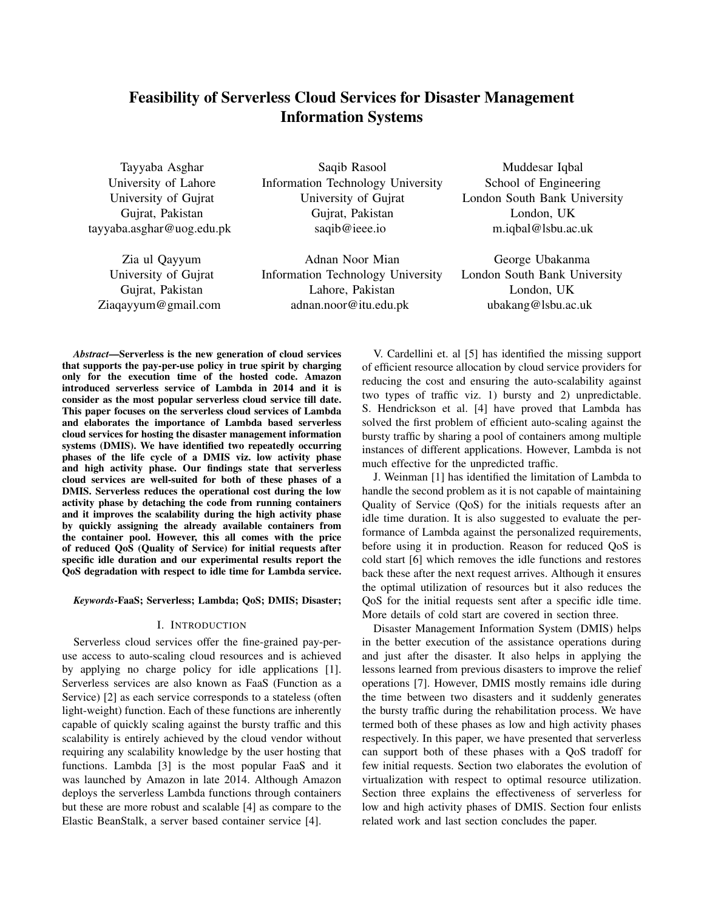# Feasibility of Serverless Cloud Services for Disaster Management Information Systems

Tayyaba Asghar University of Lahore University of Gujrat Gujrat, Pakistan tayyaba.asghar@uog.edu.pk

Zia ul Qayyum University of Gujrat Gujrat, Pakistan Ziaqayyum@gmail.com

Saqib Rasool Information Technology University University of Gujrat Gujrat, Pakistan saqib@ieee.io

Adnan Noor Mian Information Technology University Lahore, Pakistan adnan.noor@itu.edu.pk

Muddesar Iqbal School of Engineering London South Bank University London, UK m.iqbal@lsbu.ac.uk

George Ubakanma London South Bank University London, UK ubakang@lsbu.ac.uk

*Abstract*—Serverless is the new generation of cloud services that supports the pay-per-use policy in true spirit by charging only for the execution time of the hosted code. Amazon introduced serverless service of Lambda in 2014 and it is consider as the most popular serverless cloud service till date. This paper focuses on the serverless cloud services of Lambda and elaborates the importance of Lambda based serverless cloud services for hosting the disaster management information systems (DMIS). We have identified two repeatedly occurring phases of the life cycle of a DMIS viz. low activity phase and high activity phase. Our findings state that serverless cloud services are well-suited for both of these phases of a DMIS. Serverless reduces the operational cost during the low activity phase by detaching the code from running containers and it improves the scalability during the high activity phase by quickly assigning the already available containers from the container pool. However, this all comes with the price of reduced QoS (Quality of Service) for initial requests after specific idle duration and our experimental results report the QoS degradation with respect to idle time for Lambda service.

# *Keywords*-FaaS; Serverless; Lambda; QoS; DMIS; Disaster;

#### I. INTRODUCTION

Serverless cloud services offer the fine-grained pay-peruse access to auto-scaling cloud resources and is achieved by applying no charge policy for idle applications [1]. Serverless services are also known as FaaS (Function as a Service) [2] as each service corresponds to a stateless (often light-weight) function. Each of these functions are inherently capable of quickly scaling against the bursty traffic and this scalability is entirely achieved by the cloud vendor without requiring any scalability knowledge by the user hosting that functions. Lambda [3] is the most popular FaaS and it was launched by Amazon in late 2014. Although Amazon deploys the serverless Lambda functions through containers but these are more robust and scalable [4] as compare to the Elastic BeanStalk, a server based container service [4].

V. Cardellini et. al [5] has identified the missing support of efficient resource allocation by cloud service providers for reducing the cost and ensuring the auto-scalability against two types of traffic viz. 1) bursty and 2) unpredictable. S. Hendrickson et al. [4] have proved that Lambda has solved the first problem of efficient auto-scaling against the bursty traffic by sharing a pool of containers among multiple instances of different applications. However, Lambda is not much effective for the unpredicted traffic.

J. Weinman [1] has identified the limitation of Lambda to handle the second problem as it is not capable of maintaining Quality of Service (QoS) for the initials requests after an idle time duration. It is also suggested to evaluate the performance of Lambda against the personalized requirements, before using it in production. Reason for reduced QoS is cold start [6] which removes the idle functions and restores back these after the next request arrives. Although it ensures the optimal utilization of resources but it also reduces the QoS for the initial requests sent after a specific idle time. More details of cold start are covered in section three.

Disaster Management Information System (DMIS) helps in the better execution of the assistance operations during and just after the disaster. It also helps in applying the lessons learned from previous disasters to improve the relief operations [7]. However, DMIS mostly remains idle during the time between two disasters and it suddenly generates the bursty traffic during the rehabilitation process. We have termed both of these phases as low and high activity phases respectively. In this paper, we have presented that serverless can support both of these phases with a QoS tradoff for few initial requests. Section two elaborates the evolution of virtualization with respect to optimal resource utilization. Section three explains the effectiveness of serverless for low and high activity phases of DMIS. Section four enlists related work and last section concludes the paper.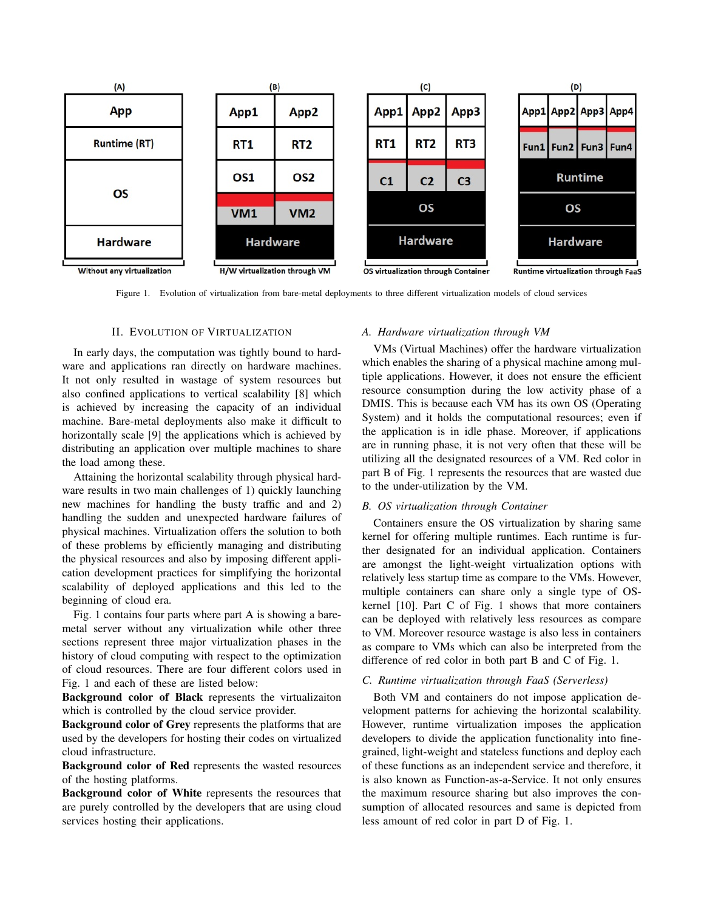

Figure 1. Evolution of virtualization from bare-metal deployments to three different virtualization models of cloud services

## II. EVOLUTION OF VIRTUALIZATION

In early days, the computation was tightly bound to hardware and applications ran directly on hardware machines. It not only resulted in wastage of system resources but also confined applications to vertical scalability [8] which is achieved by increasing the capacity of an individual machine. Bare-metal deployments also make it difficult to horizontally scale [9] the applications which is achieved by distributing an application over multiple machines to share the load among these.

Attaining the horizontal scalability through physical hardware results in two main challenges of 1) quickly launching new machines for handling the busty traffic and and 2) handling the sudden and unexpected hardware failures of physical machines. Virtualization offers the solution to both of these problems by efficiently managing and distributing the physical resources and also by imposing different application development practices for simplifying the horizontal scalability of deployed applications and this led to the beginning of cloud era.

Fig. 1 contains four parts where part A is showing a baremetal server without any virtualization while other three sections represent three major virtualization phases in the history of cloud computing with respect to the optimization of cloud resources. There are four different colors used in Fig. 1 and each of these are listed below:

Background color of Black represents the virtualizaiton which is controlled by the cloud service provider.

Background color of Grey represents the platforms that are used by the developers for hosting their codes on virtualized cloud infrastructure.

Background color of Red represents the wasted resources of the hosting platforms.

Background color of White represents the resources that are purely controlled by the developers that are using cloud services hosting their applications.

## *A. Hardware virtualization through VM*

VMs (Virtual Machines) offer the hardware virtualization which enables the sharing of a physical machine among multiple applications. However, it does not ensure the efficient resource consumption during the low activity phase of a DMIS. This is because each VM has its own OS (Operating System) and it holds the computational resources; even if the application is in idle phase. Moreover, if applications are in running phase, it is not very often that these will be utilizing all the designated resources of a VM. Red color in part B of Fig. 1 represents the resources that are wasted due to the under-utilization by the VM.

## *B. OS virtualization through Container*

Containers ensure the OS virtualization by sharing same kernel for offering multiple runtimes. Each runtime is further designated for an individual application. Containers are amongst the light-weight virtualization options with relatively less startup time as compare to the VMs. However, multiple containers can share only a single type of OSkernel [10]. Part C of Fig. 1 shows that more containers can be deployed with relatively less resources as compare to VM. Moreover resource wastage is also less in containers as compare to VMs which can also be interpreted from the difference of red color in both part B and C of Fig. 1.

## *C. Runtime virtualization through FaaS (Serverless)*

Both VM and containers do not impose application development patterns for achieving the horizontal scalability. However, runtime virtualization imposes the application developers to divide the application functionality into finegrained, light-weight and stateless functions and deploy each of these functions as an independent service and therefore, it is also known as Function-as-a-Service. It not only ensures the maximum resource sharing but also improves the consumption of allocated resources and same is depicted from less amount of red color in part D of Fig. 1.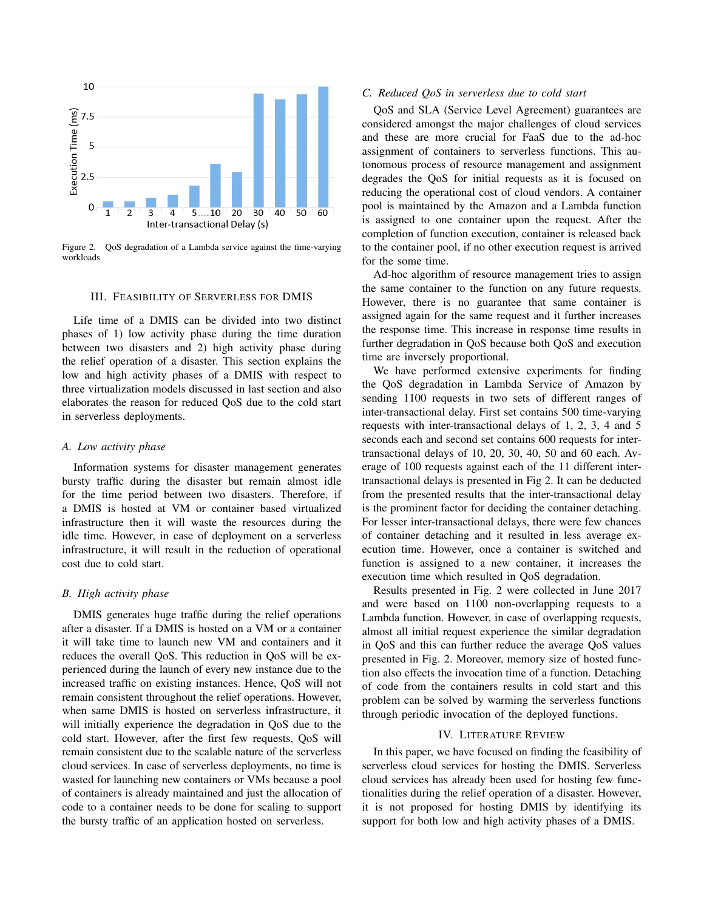

Figure 2. QoS degradation of a Lambda service against the time-varying workloads

#### III. FEASIBILITY OF SERVERLESS FOR DMIS

Life time of a DMIS can be divided into two distinct phases of 1) low activity phase during the time duration between two disasters and 2) high activity phase during the relief operation of a disaster. This section explains the low and high activity phases of a DMIS with respect to three virtualization models discussed in last section and also elaborates the reason for reduced QoS due to the cold start in serverless deployments.

## *A. Low activity phase*

Information systems for disaster management generates bursty traffic during the disaster but remain almost idle for the time period between two disasters. Therefore, if a DMIS is hosted at VM or container based virtualized infrastructure then it will waste the resources during the idle time. However, in case of deployment on a serverless infrastructure, it will result in the reduction of operational cost due to cold start.

#### *B. High activity phase*

DMIS generates huge traffic during the relief operations after a disaster. If a DMIS is hosted on a VM or a container it will take time to launch new VM and containers and it reduces the overall QoS. This reduction in QoS will be experienced during the launch of every new instance due to the increased traffic on existing instances. Hence, QoS will not remain consistent throughout the relief operations. However, when same DMIS is hosted on serverless infrastructure, it will initially experience the degradation in QoS due to the cold start. However, after the first few requests, QoS will remain consistent due to the scalable nature of the serverless cloud services. In case of serverless deployments, no time is wasted for launching new containers or VMs because a pool of containers is already maintained and just the allocation of code to a container needs to be done for scaling to support the bursty traffic of an application hosted on serverless.

## *C. Reduced QoS in serverless due to cold start*

QoS and SLA (Service Level Agreement) guarantees are considered amongst the major challenges of cloud services and these are more crucial for FaaS due to the ad-hoc assignment of containers to serverless functions. This autonomous process of resource management and assignment degrades the QoS for initial requests as it is focused on reducing the operational cost of cloud vendors. A container pool is maintained by the Amazon and a Lambda function is assigned to one container upon the request. After the completion of function execution, container is released back to the container pool, if no other execution request is arrived for the some time.

Ad-hoc algorithm of resource management tries to assign the same container to the function on any future requests. However, there is no guarantee that same container is assigned again for the same request and it further increases the response time. This increase in response time results in further degradation in QoS because both QoS and execution time are inversely proportional.

We have performed extensive experiments for finding the QoS degradation in Lambda Service of Amazon by sending 1100 requests in two sets of different ranges of inter-transactional delay. First set contains 500 time-varying requests with inter-transactional delays of 1, 2, 3, 4 and 5 seconds each and second set contains 600 requests for intertransactional delays of 10, 20, 30, 40, 50 and 60 each. Average of 100 requests against each of the 11 different intertransactional delays is presented in Fig 2. It can be deducted from the presented results that the inter-transactional delay is the prominent factor for deciding the container detaching. For lesser inter-transactional delays, there were few chances of container detaching and it resulted in less average execution time. However, once a container is switched and function is assigned to a new container, it increases the execution time which resulted in QoS degradation.

Results presented in Fig. 2 were collected in June 2017 and were based on 1100 non-overlapping requests to a Lambda function. However, in case of overlapping requests, almost all initial request experience the similar degradation in QoS and this can further reduce the average QoS values presented in Fig. 2. Moreover, memory size of hosted function also effects the invocation time of a function. Detaching of code from the containers results in cold start and this problem can be solved by warming the serverless functions through periodic invocation of the deployed functions.

#### IV. LITERATURE REVIEW

In this paper, we have focused on finding the feasibility of serverless cloud services for hosting the DMIS. Serverless cloud services has already been used for hosting few functionalities during the relief operation of a disaster. However, it is not proposed for hosting DMIS by identifying its support for both low and high activity phases of a DMIS.